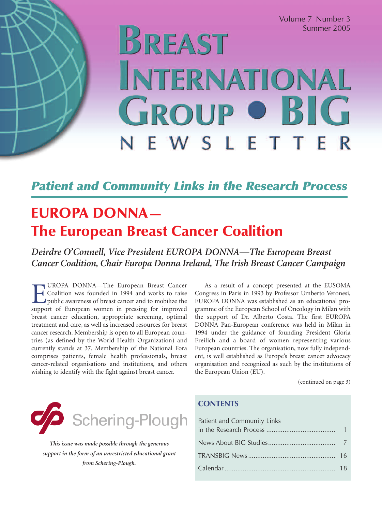Volume 7 Number 3 Summer 2005

# BREAST INTERNATIONAL **GROUP OBIG** NEWSLETTE

### *Patient and Community Links in the Research Process*

# **EUROPA DONNA— The European Breast Cancer Coalition**

*Deirdre O'Connell, Vice President EUROPA DONNA—The European Breast Cancer Coalition, Chair Europa Donna Ireland, The Irish Breast Cancer Campaign*

**EUROPA DONNA—The European Breast Cancer**<br>Coalition was founded in 1994 and works to raise<br>public awareness of breast cancer and to mobilize the<br>support of European women in pressing for improved Coalition was founded in 1994 and works to raise public awareness of breast cancer and to mobilize the support of European women in pressing for improved breast cancer education, appropriate screening, optimal treatment and care, as well as increased resources for breast cancer research. Membership is open to all European countries (as defined by the World Health Organization) and currently stands at 37. Membership of the National Fora comprises patients, female health professionals, breast cancer-related organisations and institutions, and others wishing to identify with the fight against breast cancer.

As a result of a concept presented at the EUSOMA Congress in Paris in 1993 by Professor Umberto Veronesi, EUROPA DONNA was established as an educational programme of the European School of Oncology in Milan with the support of Dr. Alberto Costa. The first EUROPA DONNA Pan-European conference was held in Milan in 1994 under the guidance of founding President Gloria Freilich and a board of women representing various European countries. The organisation, now fully independent, is well established as Europe's breast cancer advocacy organisation and recognized as such by the institutions of the European Union (EU).

(continued on page 3)



*This issue was made possible through the generous support in the form of an unrestricted educational grant from Schering-Plough.*

#### **CONTENTS**

| Patient and Community Links |  |
|-----------------------------|--|
|                             |  |
|                             |  |
|                             |  |
|                             |  |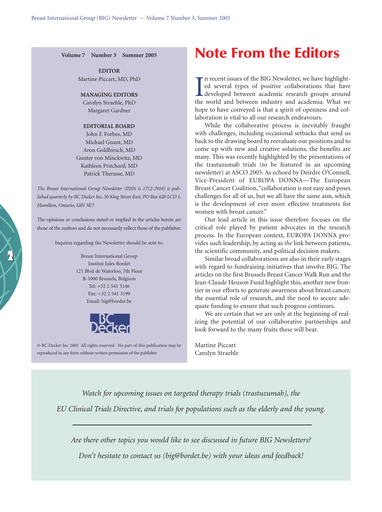**Volume 7 Number 3 Summer 2005**

**EDITOR** Martine Piccart, MD, PhD

#### **MANAGING EDITORS**

Carolyn Straehle, PhD Margaret Gardner

#### **EDITORIAL BOARD**

John F. Forbes, MD Michael Gnant, MD Aron Goldhirsch, MD Gunter von Minckwitz, MD Kathleen Pritchard, MD Patrick Therasse, MD

*The Breast International Group Newsletter (ISSN is 1712-2910) is published quarterly by BC Decker Inc, 50 King Street East, PO Box 620 LCD 1, Hamilton, Ontario, L8N 3K7.*

The opinions or conclusions stated or implied in the articles herein are those of the authors and do not necessarily reflect those of the publisher.

Inquires regarding the Newsletter should be sent to:

**2**

Breast International Group Institut Jules Bordet 121 Blvd de Waterloo, 7th Floor B-1000 Brussels, Belgium Tel: +32 2 541 3146 Fax: +32 2 541 3199 Email: big@bordet.be



© BC Decker Inc 2005 All rights reserved. No part of this publication may be reproduced in any form without written permission of the publisher.

## **Note From the Editors**

 $\prod_{\text{the } }$ n recent issues of the BIG Newsletter, we have highlighted several types of positive collaborations that have developed between academic research groups around the world and between industry and academia. What we hope to have conveyed is that a spirit of openness and collaboration is vital to all our research endeavours.

While the collaborative process is inevitably fraught with challenges, including occasional setbacks that send us back to the drawing board to reevaluate our positions and to come up with new and creative solutions, the benefits are many. This was recently highlighted by the presentations of the trastuzumab trials (to be featured in an upcoming newsletter) at ASCO 2005. As echoed by Deirdre O'Connell, Vice-President of EUROPA DONNA—The European Breast Cancer Coalition,"collaboration is not easy and poses challenges for all of us, but we all have the same aim, which is the development of ever more effective treatments for women with breast cancer."

Our lead article in this issue therefore focuses on the critical role played by patient advocates in the research process. In the European context, EUROPA DONNA provides such leadership, by acting as *the* link between patients, the scientific community, and political decision makers.

Similar broad collaborations are also in their early stages with regard to fundraising initiatives that involve BIG. The articles on the first Brussels Breast Cancer Walk Run and the Jean-Claude Heuson Fund highlight this, another new frontier in our efforts to generate awareness about breast cancer, the essential role of research, and the need to secure adequate funding to ensure that such progress continues.

We are certain that we are only at the beginning of realizing the potential of our collaborative partnerships and look forward to the many fruits these will bear.

Martine Piccart Carolyn Straehle

*Watch for upcoming issues on targeted therapy trials (trastuzumab), the EU Clinical Trials Directive, and trials for populations such as the elderly and the young.*

*Are there other topics you would like to see discussed in future BIG Newsletters? Don't hesitate to contact us (big@bordet.be) with your ideas and feedback!*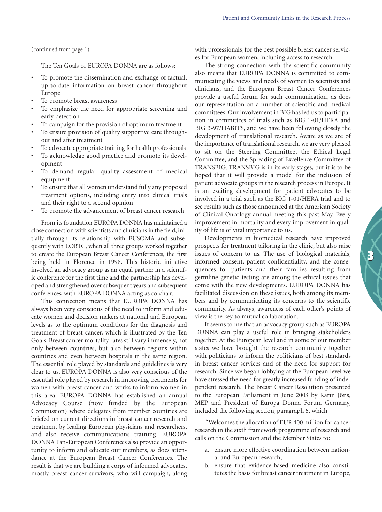(continued from page 1)

The Ten Goals of EUROPA DONNA are as follows:

- To promote the dissemination and exchange of factual, up-to-date information on breast cancer throughout Europe
- To promote breast awareness
- To emphasize the need for appropriate screening and early detection
- To campaign for the provision of optimum treatment
- To ensure provision of quality supportive care throughout and after treatment
- To advocate appropriate training for health professionals
- To acknowledge good practice and promote its development
- To demand regular quality assessment of medical equipment
- To ensure that all women understand fully any proposed treatment options, including entry into clinical trials and their right to a second opinion
- To promote the advancement of breast cancer research

From its foundation EUROPA DONNA has maintained a close connection with scientists and clinicians in the field, initially through its relationship with EUSOMA and subsequently with EORTC, when all three groups worked together to create the European Breast Cancer Conferences, the first being held in Florence in 1998. This historic initiative involved an advocacy group as an equal partner in a scientific conference for the first time and the partnership has developed and strengthened over subsequent years and subsequent conferences, with EUROPA DONNA acting as co-chair.

This connection means that EUROPA DONNA has always been very conscious of the need to inform and educate women and decision makers at national and European levels as to the optimum conditions for the diagnosis and treatment of breast cancer, which is illustrated by the Ten Goals. Breast cancer mortality rates still vary immensely, not only between countries, but also between regions within countries and even between hospitals in the same region. The essential role played by standards and guidelines is very clear to us. EUROPA DONNA is also very conscious of the essential role played by research in improving treatments for women with breast cancer and works to inform women in this area. EUROPA DONNA has established an annual Advocacy Course (now funded by the European Commission) where delegates from member countries are briefed on current directions in breast cancer research and treatment by leading European physicians and researchers, and also receive communications training. EUROPA DONNA Pan-European Conferences also provide an opportunity to inform and educate our members, as does attendance at the European Breast Cancer Conferences. The result is that we are building a corps of informed advocates, mostly breast cancer survivors, who will campaign, along with professionals, for the best possible breast cancer services for European women, including access to research.

The strong connection with the scientific community also means that EUROPA DONNA is committed to communicating the views and needs of women to scientists and clinicians, and the European Breast Cancer Conferences provide a useful forum for such communication, as does our representation on a number of scientific and medical committees. Our involvement in BIG has led us to participation in committees of trials such as BIG 1-01/HERA and BIG 3-97/HABITS, and we have been following closely the development of translational research. Aware as we are of the importance of translational research, we are very pleased to sit on the Steering Committee, the Ethical Legal Committee, and the Spreading of Excellence Committee of TRANSBIG. TRANSBIG is in its early stages, but it is to be hoped that it will provide a model for the inclusion of patient advocate groups in the research process in Europe. It is an exciting development for patient advocates to be involved in a trial such as the BIG 1-01/HERA trial and to see results such as those announced at the American Society of Clinical Oncology annual meeting this past May. Every improvement in mortality and every improvement in quality of life is of vital importance to us.

Developments in biomedical research have improved prospects for treatment tailoring in the clinic, but also raise issues of concern to us. The use of biological materials, informed consent, patient confidentiality, and the consequences for patients and their families resulting from germline genetic testing are among the ethical issues that come with the new developments. EUROPA DONNA has facilitated discussion on these issues, both among its members and by communicating its concerns to the scientific community. As always, awareness of each other's points of view is the key to mutual collaboration.

**3**

It seems to me that an advocacy group such as EUROPA DONNA can play a useful role in bringing stakeholders together. At the European level and in some of our member states we have brought the research community together with politicians to inform the politicians of best standards in breast cancer services and of the need for support for research. Since we began lobbying at the European level we have stressed the need for greatly increased funding of independent research. The Breast Cancer Resolution presented to the European Parliament in June 2003 by Karin Jöns, MEP and President of Europa Donna Forum Germany, included the following section, paragraph 6, which

"Welcomes the allocation of EUR 400 million for cancer research in the sixth framework programme of research and calls on the Commission and the Member States to:

- a. ensure more effective coordination between national and European research,
- b. ensure that evidence-based medicine also constitutes the basis for breast cancer treatment in Europe,